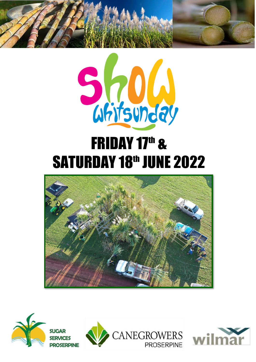



# **FRIDAY 17th & SATURDAY 18th JUNE 2022**







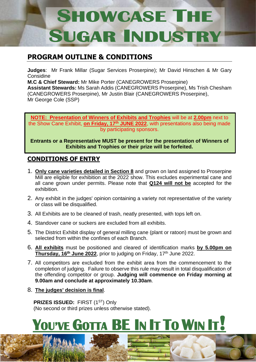# **SHOWCASE THE SUGAR INDUST**

#### **PROGRAM OUTLINE & CONDITIONS**

**Judges**: Mr Frank Millar (Sugar Services Proserpine); Mr David Hinschen & Mr Gary Considine

**M.C & Chief Steward:** Mr Mike Porter (CANEGROWERS Proserpine) **Assistant Stewards:** Ms Sarah Addis (CANEGROWERS Proserpine), Ms Trish Chesham (CANEGROWERS Proserpine), Mr Justin Blair (CANEGROWERS Proserpine), Mr George Cole (SSP)

**NOTE: Presentation of Winners of Exhibits and Trophies** will be at **2.00pm** next to the Show Cane Exhibit, **on Friday, 17<sup>th</sup> JUNE 2022**, with presentations also being made by participating sponsors.

**Entrants or a Representative MUST be present for the presentation of Winners of Exhibits and Trophies or their prize will be forfeited.**

#### **CONDITIONS OF ENTRY**

- 1. **Only cane varieties detailed in Section 8** and grown on land assigned to Proserpine Mill are eligible for exhibition at the 2022 show. This excludes experimental cane and all cane grown under permits. Please note that **Q124 will not be** accepted for the exhibition.
- 2. Any exhibit in the judges' opinion containing a variety not representative of the variety or class will be disqualified.
- 3. All Exhibits are to be cleaned of trash, neatly presented, with tops left on.
- 4. Standover cane or suckers are excluded from all exhibits.
- 5. The District Exhibit display of general milling cane (plant or ratoon) must be grown and selected from within the confines of each Branch.
- 6. **All exhibits** must be positioned and cleared of identification marks **by 5.00pm on**  Thursday, 16<sup>th</sup> June 2022, prior to judging on Friday, 17<sup>th</sup> June 2022.
- 7. All competitors are excluded from the exhibit area from the commencement to the completion of judging. Failure to observe this rule may result in total disqualification of the offending competitor or group. **Judging will commence on Friday morning at 9.00am and conclude at approximately 10.30am**.
- 8. **The judges' decision is final**.

**PRIZES ISSUED:** FIRST (1<sup>ST</sup>) Only (No second or third prizes unless otherwise stated).

# **YOU'VE GOTTA BE I<sup>N</sup> I<sup>T</sup> T<sup>O</sup> WIN IT!**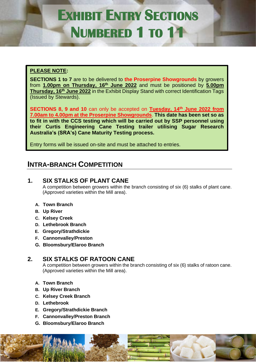### **EXHIBIT ENTRY SECTIONS NUMBERED 1 TO 11**

#### **PLEASE NOTE:**

**SECTIONS 1 to 7** are to be delivered to **the Proserpine Showgrounds** by growers from **1.00pm on Thursday, 16<sup>th</sup> June 2022** and must be positioned by **5.00pm Thursday, 16<sup>th</sup> June 2022** in the Exhibit Display Stand with correct Identification Tags (Issued by Stewards).

**SECTIONS 8, 9 and 10** can only be accepted on **Tuesday, 14 th June 2022 from 7.00am to 4.00pm at the Proserpine Showgrounds**. **This date has been set so as to fit in with the CCS testing which will be carried out by SSP personnel using their Curtis Engineering Cane Testing trailer utilising Sugar Research Australia's (SRA's) Cane Maturity Testing process.**

Entry forms will be issued on-site and must be attached to entries.

#### **INTRA-BRANCH COMPETITION**

#### **1. SIX STALKS OF PLANT CANE**

A competition between growers within the branch consisting of six (6) stalks of plant cane. (Approved varieties within the Mill area).

#### **A. Town Branch**

- **B. Up River**
- **C. Kelsey Creek**
- **D. Lethebrook Branch**
- **E. Gregory/Strathdickie**
- **F. Cannonvalley/Preston**
- **G. Bloomsbury/Elaroo Branch**

#### **2. SIX STALKS OF RATOON CANE**

A competition between growers within the branch consisting of six (6) stalks of ratoon cane. (Approved varieties within the Mill area).

- **A. Town Branch**
- **B. Up River Branch**
- **C. Kelsey Creek Branch**
- **D. Lethebrook**
- **E. Gregory/Strathdickie Branch**
- **F. Cannonvalley/Preston Branch**
- **G. Bloomsbury/Elaroo Branch**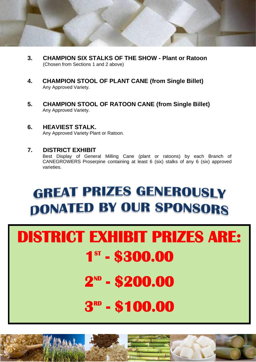

- **3. CHAMPION SIX STALKS OF THE SHOW - Plant or Ratoon** (Chosen from Sections 1 and 2 above)
- **4. CHAMPION STOOL OF PLANT CANE (from Single Billet)** Any Approved Variety.
- **5. CHAMPION STOOL OF RATOON CANE (from Single Billet)** Any Approved Variety.
- **6. HEAVIEST STALK.** Any Approved Variety Plant or Ratoon.

**7. DISTRICT EXHIBIT** Best Display of General Milling Cane (plant or ratoons) by each Branch of CANEGROWERS Proserpine containing at least 6 (six) stalks of any 6 (six) approved varieties.

### **GREAT PRIZES GENEROUSLY DONATED BY OUR SPONSORS**

# **DISTRICT EXHIBIT PRIZES ARE: 1 ST - \$300.00 2 ND - \$200.00 3 RD - \$100.00**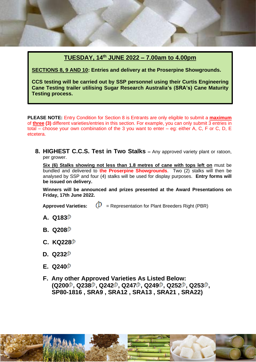#### **TUESDAY, 14 th JUNE 2022 – 7.00am to 4.00pm**

**SECTIONS 8, 9 AND 10: Entries and delivery at the Proserpine Showgrounds.**

**CCS testing will be carried out by SSP personnel using their Curtis Engineering Cane Testing trailer utilising Sugar Research Australia's (SRA's) Cane Maturity Testing process.**

**PLEASE NOTE:** Entry Condition for Section 8 is Entrants are only eligible to submit a **maximum** of **three (3)** different varieties/entries in this section. For example, you can only submit 3 entries in total – choose your own combination of the 3 you want to enter – eg: either A, C, F or C, D, E etcetera.

**8. HIGHEST C.C.S. Test in Two Stalks –** Any approved variety plant or ratoon, per grower.

**Six (6) Stalks showing not less than 1.8 metres of cane with tops left on** must be bundled and delivered to **the Proserpine Showgrounds**. Two (2) stalks will then be analysed by SSP and four (4) stalks will be used for display purposes. **Entry forms will be issued on delivery.**

**Winners will be announced and prizes presented at the Award Presentations on Friday, 17th June 2022.**

- **Approved Varieties:**  $(D)$  = Representation for Plant Breeders Right (PBR)
- **A. Q183**
- **B. Q208**
- **C. KQ228**
- **D. Q232**
- **E. Q240**
- **F. Any other Approved Varieties As Listed Below: (Q200 , Q238 , Q242 , Q247 , Q249 , Q252 , Q253 , SP80-1816 , SRA9 , SRA12 , SRA13 , SRA21 , SRA22)**